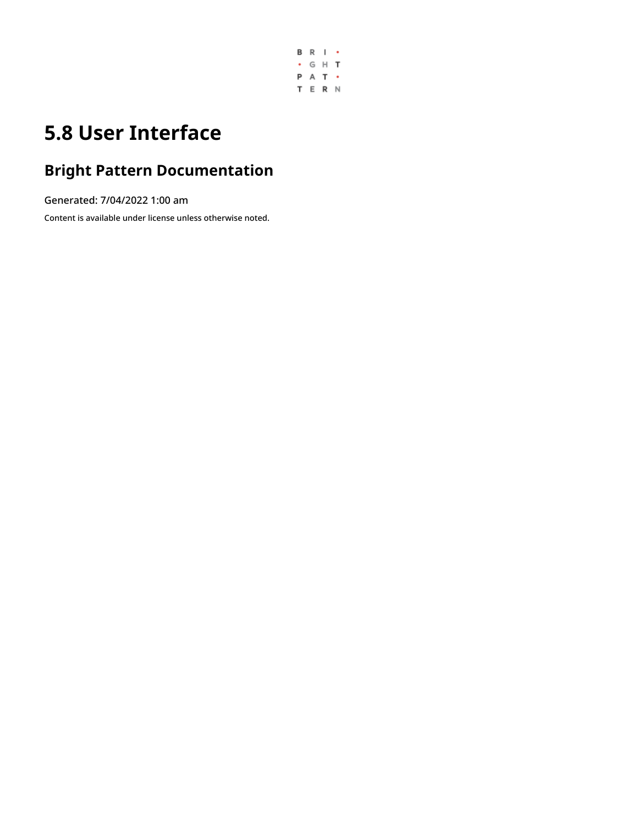

## **5.8 User Interface**

### **Bright Pattern Documentation**

Generated: 7/04/2022 1:00 am

Content is available under license unless otherwise noted.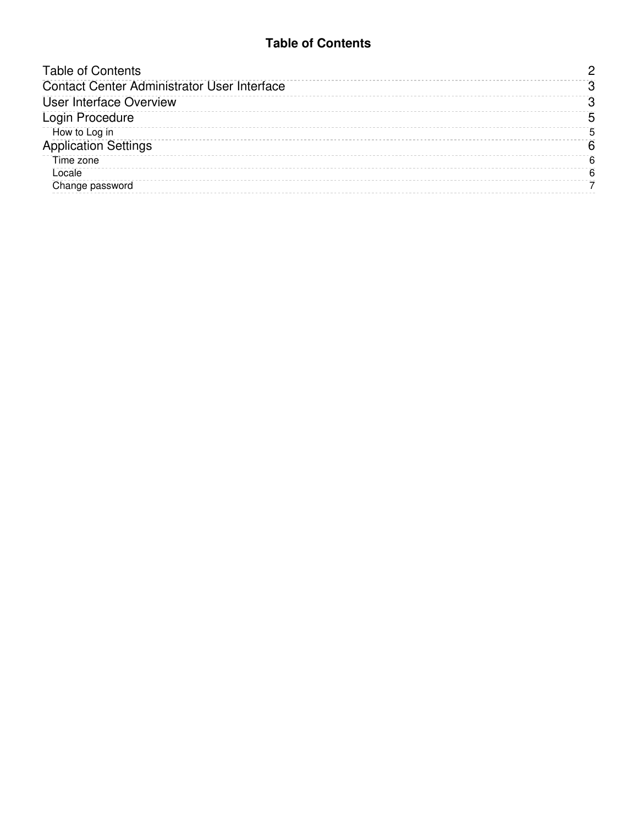#### **Table of Contents**

<span id="page-1-0"></span>

| <b>Table of Contents</b>                           |   |
|----------------------------------------------------|---|
| <b>Contact Center Administrator User Interface</b> |   |
| <b>User Interface Overview</b>                     |   |
| Login Procedure                                    | 5 |
| How to Log in                                      | 5 |
| <b>Application Settings</b>                        | 6 |
| Time zone                                          | 6 |
| Locale                                             | 6 |
| Change password                                    |   |
|                                                    |   |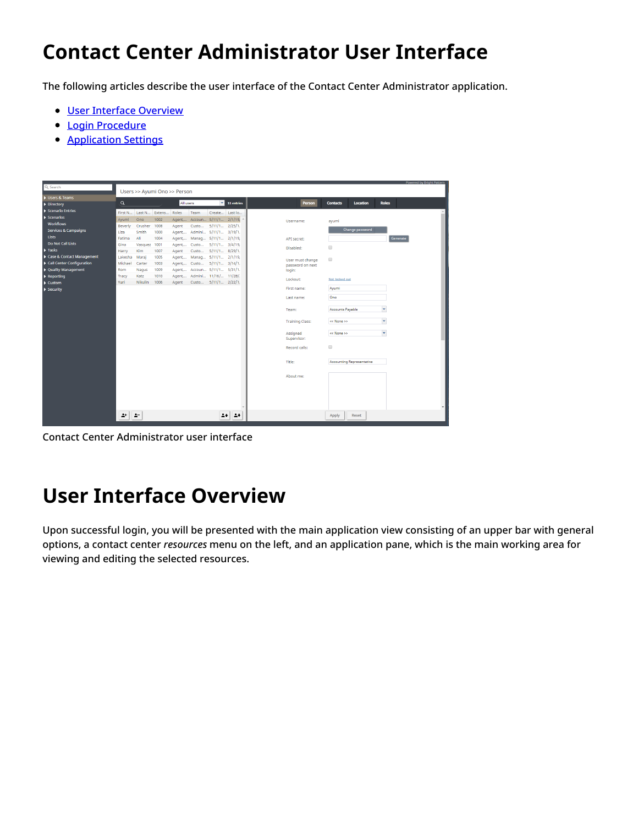## <span id="page-2-0"></span>**Contact Center Administrator User Interface**

The following articles describe the user interface of the Contact Center Administrator application.

- User Interface [Overview](https://help.brightpattern.com/5.8:Contact-center-administrator-guide/UserInterface/?action=html-localimages-export#topic_contact-center-administrator-guide.2Fuserinterface.2Fuserinterfaceoverview)
- **Login [Procedure](https://help.brightpattern.com/5.8:Contact-center-administrator-guide/UserInterface/?action=html-localimages-export#topic_contact-center-administrator-guide.2Fuserinterface.2Floginprocedure)**
- **[Application](https://help.brightpattern.com/5.8:Contact-center-administrator-guide/UserInterface/?action=html-localimages-export#topic_contact-center-administrator-guide.2Fuserinterface.2Fapplicationsettings) Settings**



Contact Center Administrator user interface

### <span id="page-2-1"></span>**User Interface Overview**

Upon successful login, you will be presented with the main application view consisting of an upper bar with general options, a contact center *resources* menu on the left, and an application pane, which is the main working area for viewing and editing the selected resources.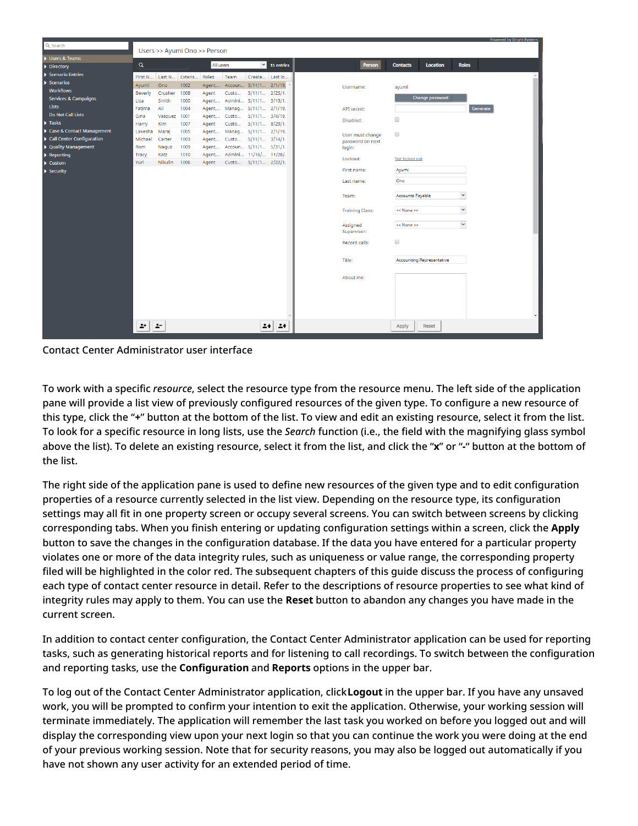| Q Search                        |                              |         |                     |        |       |                              |                         |  |                        |                         |                                  | Powered by Bright Pattern |
|---------------------------------|------------------------------|---------|---------------------|--------|-------|------------------------------|-------------------------|--|------------------------|-------------------------|----------------------------------|---------------------------|
|                                 | Users >> Ayumi Ono >> Person |         |                     |        |       |                              |                         |  |                        |                         |                                  |                           |
| Users & Teams                   | $\alpha$<br>All users        |         |                     |        |       |                              | $\mathbf{v}$ 11 entries |  | Person                 | <b>Contacts</b>         | Location                         | <b>Roles</b>              |
| Directory                       |                              |         |                     |        |       |                              |                         |  |                        |                         |                                  |                           |
| Scenario Entries                | First N                      |         | Last N Extens Roles |        | Team  |                              | Create Last lo          |  |                        |                         |                                  |                           |
| $\blacktriangleright$ Scenarios | Ayumi                        | Ono     | 1002                |        |       | Agent, Accoun 5/11/1 2/1/19, |                         |  | Username:              | ayumi                   |                                  |                           |
| <b>Workflows</b>                | <b>Beverly</b>               | Crusher | 1008                | Agent  | Custo | $5/11/1$ 2/25/1.             |                         |  |                        |                         |                                  |                           |
| <b>Services &amp; Campaigns</b> | Liza                         | Smith   | 1000                | Agent, |       | Admini 5/11/1 3/19/1.        |                         |  |                        |                         | Change password                  |                           |
| Lists                           | Fatima                       | Ali     | 1004                | Agent, |       | Manag 5/11/1 2/1/19,         |                         |  | API secret:            |                         |                                  | Generate                  |
| <b>Do Not Call Lists</b>        | Gina                         | Vasquez | 1001                | Agent, | Custo | $5/11/1$ $3/4/19$ ,          |                         |  |                        | $\qquad \qquad \Box$    |                                  |                           |
| $\blacktriangleright$ Tasks     | Harry                        | Kim     | 1007                | Agent  | Custo | $5/11/1$ 8/29/1.             |                         |  | Disabled:              |                         |                                  |                           |
| Case & Contact Management       | Lakesha                      | Maraj   | 1005                | Agent, |       | Manag 5/11/1 2/1/19,         |                         |  | User must change       | $\qquad \qquad \Box$    |                                  |                           |
| Call Center Configuration       | Michael                      | Carter  | 1003                |        |       | Agent, Custo 5/11/1 3/14/1.  |                         |  | password on next       |                         |                                  |                           |
| ▶ Quality Management            | Rom                          | Nagus   | 1009                |        |       | Agent, Accoun 5/11/1 5/31/1. |                         |  | login:                 |                         |                                  |                           |
| $\blacktriangleright$ Reporting | Tracy                        | Katz    | 1010                | Agent, |       | Admini 11/16/ 11/28/.        |                         |  | Lockout:               | Not locked out          |                                  |                           |
| $\blacktriangleright$ Custom    | Yuri                         | Nikulin | 1006                | Agent  |       | Custo 5/11/1 2/22/1.         |                         |  |                        |                         |                                  |                           |
| $\blacktriangleright$ Security  |                              |         |                     |        |       |                              |                         |  | First name:            | Ayumi                   |                                  |                           |
|                                 |                              |         |                     |        |       |                              |                         |  | Last name:             | Ono                     |                                  |                           |
|                                 |                              |         |                     |        |       |                              |                         |  |                        |                         |                                  |                           |
|                                 |                              |         |                     |        |       |                              |                         |  | Team:                  | <b>Accounts Payable</b> |                                  | ×                         |
|                                 |                              |         |                     |        |       |                              |                         |  |                        |                         |                                  |                           |
|                                 |                              |         |                     |        |       |                              |                         |  | <b>Training Class:</b> | << None >>              |                                  | $\overline{\mathbf{v}}$   |
|                                 |                              |         |                     |        |       |                              |                         |  |                        |                         |                                  | $\overline{\mathbf{v}}$   |
|                                 |                              |         |                     |        |       |                              |                         |  | Assigned               | << None >>              |                                  |                           |
|                                 |                              |         |                     |        |       |                              |                         |  | Supervisor:            |                         |                                  |                           |
|                                 |                              |         |                     |        |       |                              |                         |  | Record calls:          | $\qquad \qquad \Box$    |                                  |                           |
|                                 |                              |         |                     |        |       |                              |                         |  |                        |                         |                                  |                           |
|                                 |                              |         |                     |        |       |                              |                         |  | Title:                 |                         | <b>Accounting Representative</b> |                           |
|                                 |                              |         |                     |        |       |                              |                         |  |                        |                         |                                  |                           |
|                                 |                              |         |                     |        |       |                              |                         |  | About me:              |                         |                                  |                           |
|                                 |                              |         |                     |        |       |                              |                         |  |                        |                         |                                  |                           |
|                                 |                              |         |                     |        |       |                              |                         |  |                        |                         |                                  |                           |
|                                 |                              |         |                     |        |       |                              |                         |  |                        |                         |                                  |                           |
|                                 |                              |         |                     |        |       |                              |                         |  |                        |                         |                                  |                           |
|                                 |                              |         |                     |        |       |                              |                         |  |                        |                         |                                  |                           |
|                                 | 2+                           | 2-      |                     |        |       | 24                           | $\rightarrow$           |  |                        | Apply                   | <b>Reset</b>                     |                           |
|                                 |                              |         |                     |        |       |                              |                         |  |                        |                         |                                  |                           |

Contact Center Administrator user interface

To work with a specific *resource*, select the resource type from the resource menu. The left side of the application pane will provide a list view of previously configured resources of the given type. To configure a new resource of this type, click the "**+**" button at the bottom of the list. To view and edit an existing resource, select it from the list. To look for a specific resource in long lists, use the *Search* function (i.e., the field with the magnifying glass symbol above the list). To delete an existing resource, select it from the list, and click the "**x**" or "**-**" button at the bottom of the list.

The right side of the application pane is used to define new resources of the given type and to edit configuration properties of a resource currently selected in the list view. Depending on the resource type, its configuration settings may all fit in one property screen or occupy several screens. You can switch between screens by clicking corresponding tabs. When you finish entering or updating configuration settings within a screen, click the **Apply** button to save the changes in the configuration database. If the data you have entered for a particular property violates one or more of the data integrity rules, such as uniqueness or value range, the corresponding property filed will be highlighted in the color red. The subsequent chapters of this guide discuss the process of configuring each type of contact center resource in detail. Refer to the descriptions of resource properties to see what kind of integrity rules may apply to them. You can use the **Reset** button to abandon any changes you have made in the current screen.

In addition to contact center configuration, the Contact Center Administrator application can be used for reporting tasks, such as generating historical reports and for listening to call recordings. To switch between the configuration and reporting tasks, use the **Configuration** and **Reports** options in the upper bar.

To log out of the Contact Center Administrator application, click**Logout** in the upper bar. If you have any unsaved work, you will be prompted to confirm your intention to exit the application. Otherwise, your working session will terminate immediately. The application will remember the last task you worked on before you logged out and will display the corresponding view upon your next login so that you can continue the work you were doing at the end of your previous working session. Note that for security reasons, you may also be logged out automatically if you have not shown any user activity for an extended period of time.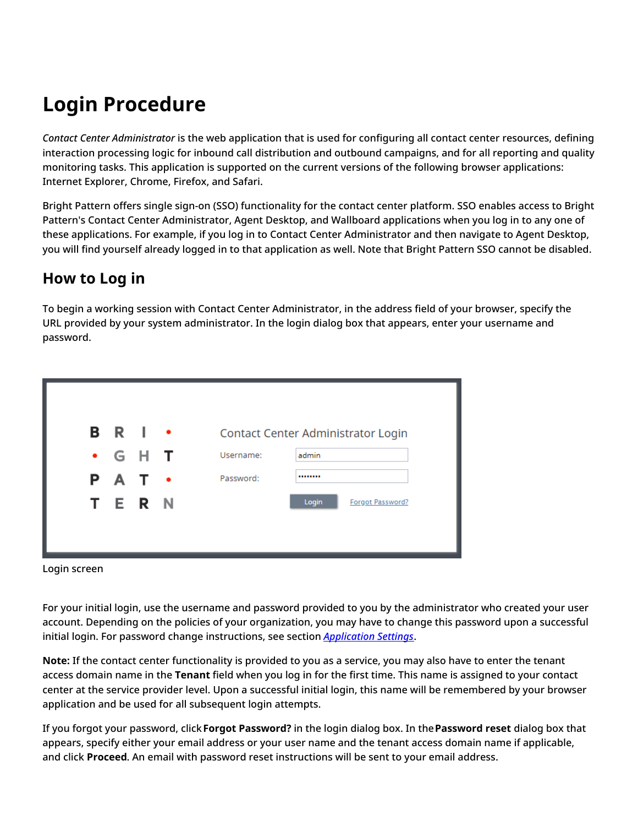# <span id="page-4-0"></span>**Login Procedure**

*Contact Center Administrator* is the web application that is used for configuring all contact center resources, defining interaction processing logic for inbound call distribution and outbound campaigns, and for all reporting and quality monitoring tasks. This application is supported on the current versions of the following browser applications: Internet Explorer, Chrome, Firefox, and Safari.

Bright Pattern offers single sign-on (SSO) functionality for the contact center platform. SSO enables access to Bright Pattern's Contact Center Administrator, Agent Desktop, and Wallboard applications when you log in to any one of these applications. For example, if you log in to Contact Center Administrator and then navigate to Agent Desktop, you will find yourself already logged in to that application as well. Note that Bright Pattern SSO cannot be disabled.

#### <span id="page-4-1"></span>**How to Log in**

To begin a working session with Contact Center Administrator, in the address field of your browser, specify the URL provided by your system administrator. In the login dialog box that appears, enter your username and password.

| <b>BRI •</b><br>Contact Center Administrator Login<br>• G H<br>. т<br>Username:<br>admin<br>P A T ·<br>Password:<br> |
|----------------------------------------------------------------------------------------------------------------------|
|                                                                                                                      |
|                                                                                                                      |
|                                                                                                                      |
| TERN<br>Login<br>Forgot Password?                                                                                    |

Login screen

For your initial login, use the username and password provided to you by the administrator who created your user account. Depending on the policies of your organization, you may have to change this password upon a successful initial login. For password change instructions, see section *[Application](https://help.brightpattern.com/5.8:Contact-center-administrator-guide/UserInterface/?action=html-localimages-export#topic_contact-center-administrator-guide.2Fapplicationsettings) Settings*.

**Note:** If the contact center functionality is provided to you as a service, you may also have to enter the tenant access domain name in the **Tenant** field when you log in for the first time. This name is assigned to your contact center at the service provider level. Upon a successful initial login, this name will be remembered by your browser application and be used for all subsequent login attempts.

If you forgot your password, click**Forgot Password?** in the login dialog box. In the**Password reset** dialog box that appears, specify either your email address or your user name and the tenant access domain name if applicable, and click **Proceed**. An email with password reset instructions will be sent to your email address.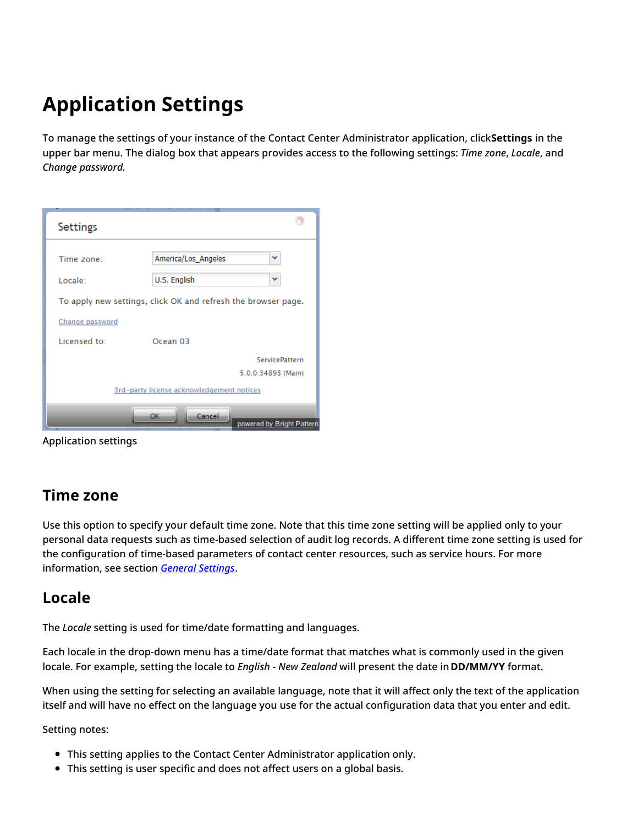# <span id="page-5-0"></span>**Application Settings**

To manage the settings of your instance of the Contact Center Administrator application, click**Settings** in the upper bar menu. The dialog box that appears provides access to the following settings: *Time zone*, *Locale*, and *Change password*.

| <b>Settings</b>                                               |
|---------------------------------------------------------------|
| America/Los_Angeles<br>v<br>Time zone:                        |
|                                                               |
| U.S. English<br>v<br>Locale:                                  |
| To apply new settings, click OK and refresh the browser page. |
| Change password                                               |
| Licensed to:<br>Ocean <sub>03</sub>                           |
| <b>ServicePattern</b>                                         |
| 5.0.0.34893 (Main)                                            |
| 3rd-party license acknowledgement notices                     |
| Cancel<br><b>OK</b><br>powered by Bright Pattern              |

Application settings

#### <span id="page-5-1"></span>**Time zone**

Use this option to specify your default time zone. Note that this time zone setting will be applied only to your personal data requests such as time-based selection of audit log records. A different time zone setting is used for the configuration of time-based parameters of contact center resources, such as service hours. For more information, see section *General [Settings](https://help.brightpattern.com/5.8:Contact-center-administrator-guide/UserInterface/?action=html-localimages-export#topic_contact-center-administrator-guide.2Fgeneralsettings)*.

#### <span id="page-5-2"></span>**Locale**

The *Locale* setting is used for time/date formatting and languages.

Each locale in the drop-down menu has a time/date format that matches what is commonly used in the given locale. For example, setting the locale to *English - New Zealand* will present the date in**DD/MM/YY** format.

When using the setting for selecting an available language, note that it will affect only the text of the application itself and will have no effect on the language you use for the actual configuration data that you enter and edit.

Setting notes:

- This setting applies to the Contact Center Administrator application only.
- This setting is user specific and does not affect users on a global basis.